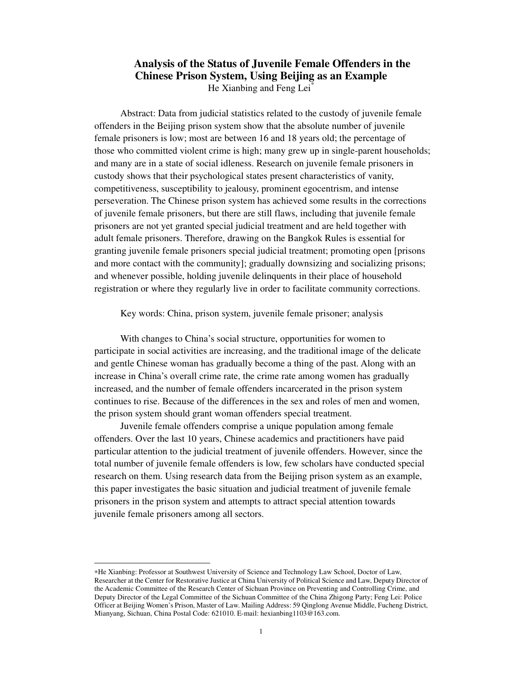## **Analysis of the Status of Juvenile Female Offenders in the Chinese Prison System, Using Beijing as an Example**  He Xianbing and Feng Lei<sup>\*</sup>

Abstract: Data from judicial statistics related to the custody of juvenile female offenders in the Beijing prison system show that the absolute number of juvenile female prisoners is low; most are between 16 and 18 years old; the percentage of those who committed violent crime is high; many grew up in single-parent households; and many are in a state of social idleness. Research on juvenile female prisoners in custody shows that their psychological states present characteristics of vanity, competitiveness, susceptibility to jealousy, prominent egocentrism, and intense perseveration. The Chinese prison system has achieved some results in the corrections of juvenile female prisoners, but there are still flaws, including that juvenile female prisoners are not yet granted special judicial treatment and are held together with adult female prisoners. Therefore, drawing on the Bangkok Rules is essential for granting juvenile female prisoners special judicial treatment; promoting open [prisons and more contact with the community]; gradually downsizing and socializing prisons; and whenever possible, holding juvenile delinquents in their place of household registration or where they regularly live in order to facilitate community corrections.

Key words: China, prison system, juvenile female prisoner; analysis

With changes to China's social structure, opportunities for women to participate in social activities are increasing, and the traditional image of the delicate and gentle Chinese woman has gradually become a thing of the past. Along with an increase in China's overall crime rate, the crime rate among women has gradually increased, and the number of female offenders incarcerated in the prison system continues to rise. Because of the differences in the sex and roles of men and women, the prison system should grant woman offenders special treatment.

Juvenile female offenders comprise a unique population among female offenders. Over the last 10 years, Chinese academics and practitioners have paid particular attention to the judicial treatment of juvenile offenders. However, since the total number of juvenile female offenders is low, few scholars have conducted special research on them. Using research data from the Beijing prison system as an example, this paper investigates the basic situation and judicial treatment of juvenile female prisoners in the prison system and attempts to attract special attention towards juvenile female prisoners among all sectors.

-

<sup>∗</sup>He Xianbing: Professor at Southwest University of Science and Technology Law School, Doctor of Law, Researcher at the Center for Restorative Justice at China University of Political Science and Law, Deputy Director of the Academic Committee of the Research Center of Sichuan Province on Preventing and Controlling Crime, and Deputy Director of the Legal Committee of the Sichuan Committee of the China Zhigong Party; Feng Lei: Police Officer at Beijing Women's Prison, Master of Law. Mailing Address: 59 Qinglong Avenue Middle, Fucheng District, Mianyang, Sichuan, China Postal Code: 621010. E-mail: hexianbing1103@163.com.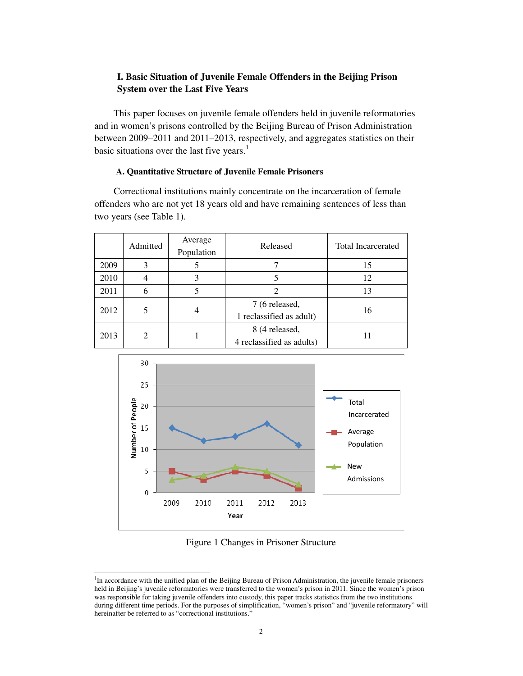## **I. Basic Situation of Juvenile Female Offenders in the Beijing Prison System over the Last Five Years**

This paper focuses on juvenile female offenders held in juvenile reformatories and in women's prisons controlled by the Beijing Bureau of Prison Administration between 2009–2011 and 2011–2013, respectively, and aggregates statistics on their basic situations over the last five years.<sup>1</sup>

#### **A. Quantitative Structure of Juvenile Female Prisoners**

Correctional institutions mainly concentrate on the incarceration of female offenders who are not yet 18 years old and have remaining sentences of less than two years (see Table 1).

|      | Admitted | Average<br>Population | Released                                    | <b>Total Incarcerated</b> |
|------|----------|-----------------------|---------------------------------------------|---------------------------|
| 2009 | 3        |                       |                                             | 15                        |
| 2010 | 4        | 3                     |                                             | 12                        |
| 2011 | 6        |                       |                                             | 13                        |
| 2012 | 5        |                       | 7 (6 released,<br>1 reclassified as adult)  | 16                        |
| 2013 | 2        |                       | 8 (4 released,<br>4 reclassified as adults) |                           |



Figure 1 Changes in Prisoner Structure

 $\overline{a}$ 

<sup>&</sup>lt;sup>1</sup>In accordance with the unified plan of the Beijing Bureau of Prison Administration, the juvenile female prisoners held in Beijing's juvenile reformatories were transferred to the women's prison in 2011. Since the women's prison was responsible for taking juvenile offenders into custody, this paper tracks statistics from the two institutions during different time periods. For the purposes of simplification, "women's prison" and "juvenile reformatory" will hereinafter be referred to as "correctional institutions."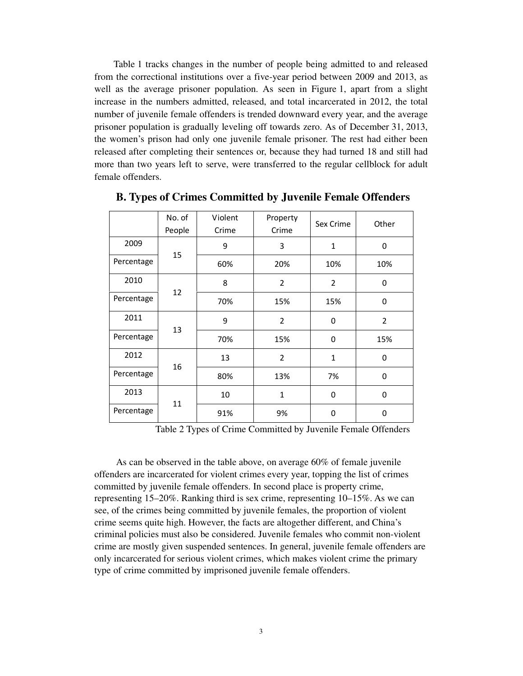Table 1 tracks changes in the number of people being admitted to and released from the correctional institutions over a five-year period between 2009 and 2013, as well as the average prisoner population. As seen in Figure 1, apart from a slight increase in the numbers admitted, released, and total incarcerated in 2012, the total number of juvenile female offenders is trended downward every year, and the average prisoner population is gradually leveling off towards zero. As of December 31, 2013, the women's prison had only one juvenile female prisoner. The rest had either been released after completing their sentences or, because they had turned 18 and still had more than two years left to serve, were transferred to the regular cellblock for adult female offenders.

|                  | No. of<br>People | Violent<br>Crime | Property<br>Crime | Sex Crime   | Other          |
|------------------|------------------|------------------|-------------------|-------------|----------------|
| 2009             |                  | 9                | 3                 | 1           | 0              |
| Percentage       | 15               | 60%              | 20%               | 10%         | 10%            |
| 2010             |                  | 8                | $\overline{2}$    | 2           | 0              |
| Percentage       | 12               | 70%              | 15%               | 15%         | 0              |
| 2011             |                  | 9                | $\overline{2}$    | 0           | $\overline{2}$ |
| Percentage       | 13               | 70%              | 15%               | 0           | 15%            |
| 2012             | 16               | 13               | $\overline{2}$    | $\mathbf 1$ | 0              |
| Percentage       |                  | 80%              | 13%               | 7%          | 0              |
| 2013             |                  | 10               | $\mathbf{1}$      | 0           | 0              |
| 11<br>Percentage |                  | 91%              | 9%                | 0           | 0              |

**B. Types of Crimes Committed by Juvenile Female Offenders** 

Table 2 Types of Crime Committed by Juvenile Female Offenders

As can be observed in the table above, on average 60% of female juvenile offenders are incarcerated for violent crimes every year, topping the list of crimes committed by juvenile female offenders. In second place is property crime, representing 15–20%. Ranking third is sex crime, representing 10–15%. As we can see, of the crimes being committed by juvenile females, the proportion of violent crime seems quite high. However, the facts are altogether different, and China's criminal policies must also be considered. Juvenile females who commit non-violent crime are mostly given suspended sentences. In general, juvenile female offenders are only incarcerated for serious violent crimes, which makes violent crime the primary type of crime committed by imprisoned juvenile female offenders.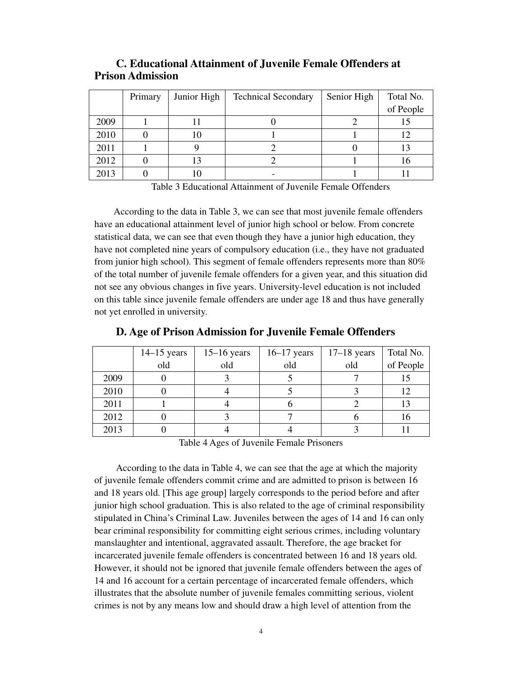|      | Primary | Junior High | <b>Technical Secondary</b> | Senior High | Total No. |
|------|---------|-------------|----------------------------|-------------|-----------|
|      |         |             |                            |             | of People |
| 2009 |         |             |                            |             |           |
| 2010 |         |             |                            |             |           |
| 2011 |         |             |                            |             |           |
| 2012 |         |             |                            |             |           |
| 2013 |         |             |                            |             |           |

## **C. Educational Attainment of Juvenile Female Offenders at Prison Admission**

Table 3 Educational Attainment of Juvenile Female Offenders

According to the data in Table 3, we can see that most juvenile female offenders have an educational attainment level of junior high school or below. From concrete statistical data, we can see that even though they have a junior high education, they have not completed nine years of compulsory education (i.e., they have not graduated from junior high school). This segment of female offenders represents more than 80% of the total number of juvenile female offenders for a given year, and this situation did not see any obvious changes in five years. University-level education is not included on this table since juvenile female offenders are under age 18 and thus have generally not yet enrolled in university.

|      | $14-15$ years | $15-16$ years | $16-17$ years | $17-18$ years | Total No. |
|------|---------------|---------------|---------------|---------------|-----------|
|      | old           | old           | old           | old           | of People |
| 2009 |               |               |               |               |           |
| 2010 |               |               |               |               | 12        |
| 2011 |               |               |               |               | 13        |
| 2012 |               |               |               |               | 16        |
| 2013 |               |               |               |               |           |

**D. Age of Prison Admission for Juvenile Female Offenders** 

Table 4 Ages of Juvenile Female Prisoners

According to the data in Table 4, we can see that the age at which the majority of juvenile female offenders commit crime and are admitted to prison is between 16 and 18 years old. [This age group] largely corresponds to the period before and after junior high school graduation. This is also related to the age of criminal responsibility stipulated in China's Criminal Law. Juveniles between the ages of 14 and 16 can only bear criminal responsibility for committing eight serious crimes, including voluntary manslaughter and intentional, aggravated assault. Therefore, the age bracket for incarcerated juvenile female offenders is concentrated between 16 and 18 years old. However, it should not be ignored that juvenile female offenders between the ages of 14 and 16 account for a certain percentage of incarcerated female offenders, which illustrates that the absolute number of juvenile females committing serious, violent crimes is not by any means low and should draw a high level of attention from the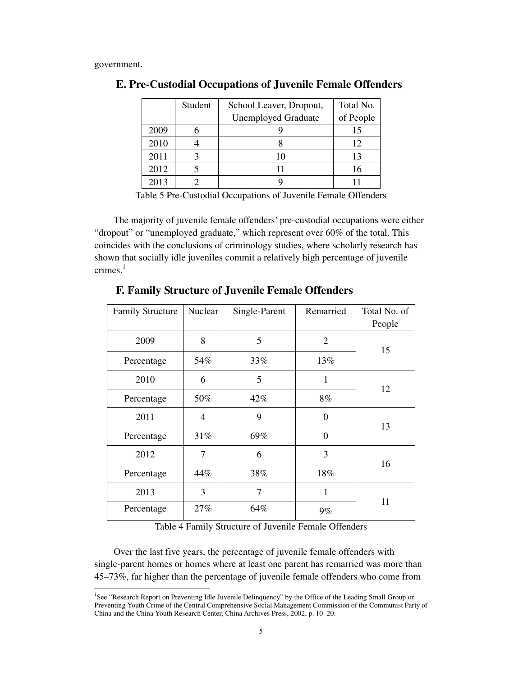government.

-

|      | Student | School Leaver, Dropout,    | Total No. |
|------|---------|----------------------------|-----------|
|      |         | <b>Unemployed Graduate</b> | of People |
| 2009 |         |                            | 15        |
| 2010 |         |                            | 12        |
| 2011 |         | 10                         | 13        |
| 2012 |         |                            | 16        |
| 2013 |         |                            |           |

### **E. Pre-Custodial Occupations of Juvenile Female Offenders**

Table 5 Pre-Custodial Occupations of Juvenile Female Offenders

The majority of juvenile female offenders' pre-custodial occupations were either "dropout" or "unemployed graduate," which represent over 60% of the total. This coincides with the conclusions of criminology studies, where scholarly research has shown that socially idle juveniles commit a relatively high percentage of juvenile  $c$ rimes. $1$ 

| <b>Family Structure</b> | Nuclear | Single-Parent | Remarried      | Total No. of |  |
|-------------------------|---------|---------------|----------------|--------------|--|
|                         |         |               |                | People       |  |
| 2009                    | 8       | 5             | $\overline{2}$ | 15           |  |
| Percentage              | 54%     | 33%           | 13%            |              |  |
| 2010                    | 6       | 5             | 1              |              |  |
| Percentage              | 50%     | $42\%$        | 8%             | 12           |  |
| 2011                    | 4       | 9             | $\overline{0}$ |              |  |
| Percentage              | 31%     | 69%           | $\overline{0}$ | 13           |  |
| 2012                    | 7       | 6             | 3              |              |  |
| Percentage              | 44%     | 38%           | 18%            | 16           |  |
| 2013                    | 3       | 7             | 1              | 11           |  |
| Percentage              | 27%     | 64%           | $9\%$          |              |  |

## **F. Family Structure of Juvenile Female Offenders**

Table 4 Family Structure of Juvenile Female Offenders

Over the last five years, the percentage of juvenile female offenders with single-parent homes or homes where at least one parent has remarried was more than 45–73%, far higher than the percentage of juvenile female offenders who come from

<sup>&</sup>lt;sup>1</sup>See "Research Report on Preventing Idle Juvenile Delinquency" by the Office of the Leading Small Group on Preventing Youth Crime of the Central Comprehensive Social Management Commission of the Communist Party of China and the China Youth Research Center, China Archives Press, 2002, p. 10–20.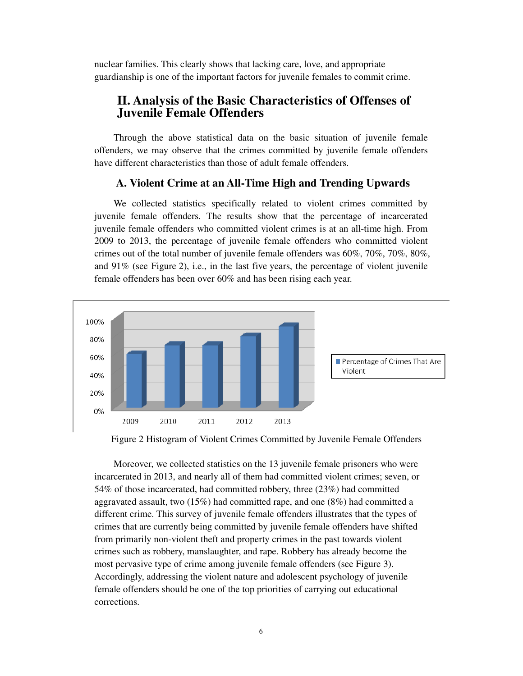nuclear families. This clearly shows that lacking care, love, and appropriate guardianship is one of the important factors for juvenile females to commit crime.

# **II. Analysis of the Basic Characteristics of Offenses of Juvenile Female Offenders**

Through the above statistical data on the basic situation of juvenile female offenders, we may observe that the crimes committed by juvenile female offenders have different characteristics than those of adult female offenders.

## **A. Violent Crime at an All-Time High and Trending Upwards**

We collected statistics specifically related to violent crimes committed by juvenile female offenders. The results show that the percentage of incarcerated juvenile female offenders who committed violent crimes is at an all-time high. From 2009 to 2013, the percentage of juvenile female offenders who committed violent crimes out of the total number of juvenile female offenders was 60%, 70%, 70%, 80%, and 91% (see Figure 2), i.e., in the last five years, the percentage of violent juvenile female offenders has been over 60% and has been rising each year.



Figure 2 Histogram of Violent Crimes Committed by Juvenile Female Offenders

Moreover, we collected statistics on the 13 juvenile female prisoners who were incarcerated in 2013, and nearly all of them had committed violent crimes; seven, or 54% of those incarcerated, had committed robbery, three (23%) had committed aggravated assault, two (15%) had committed rape, and one (8%) had committed a different crime. This survey of juvenile female offenders illustrates that the types of crimes that are currently being committed by juvenile female offenders have shifted from primarily non-violent theft and property crimes in the past towards violent crimes such as robbery, manslaughter, and rape. Robbery has already become the most pervasive type of crime among juvenile female offenders (see Figure 3). Accordingly, addressing the violent nature and adolescent psychology of juvenile female offenders should be one of the top priorities of carrying out educational corrections.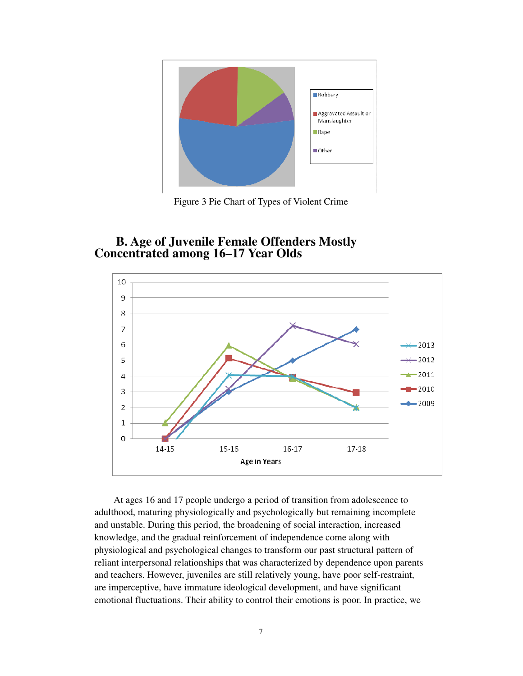

Figure 3 Pie Chart of Types of Violent Crime

# **B. Age of Juvenile Female Offenders Mostly Concentrated among 16–17 Year Olds**



At ages 16 and 17 people undergo a period of transition from adolescence to adulthood, maturing physiologically and psychologically but remaining incomplete and unstable. During this period, the broadening of social interaction, increased knowledge, and the gradual reinforcement of independence come along with physiological and psychological changes to transform our past structural pattern of reliant interpersonal relationships that was characterized by dependence upon parents and teachers. However, juveniles are still relatively young, have poor self-restraint, are imperceptive, have immature ideological development, and have significant emotional fluctuations. Their ability to control their emotions is poor. In practice, we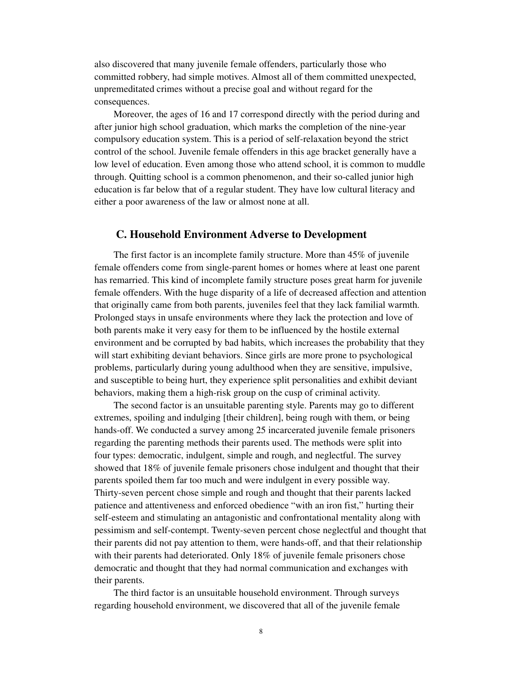also discovered that many juvenile female offenders, particularly those who committed robbery, had simple motives. Almost all of them committed unexpected, unpremeditated crimes without a precise goal and without regard for the consequences.

Moreover, the ages of 16 and 17 correspond directly with the period during and after junior high school graduation, which marks the completion of the nine-year compulsory education system. This is a period of self-relaxation beyond the strict control of the school. Juvenile female offenders in this age bracket generally have a low level of education. Even among those who attend school, it is common to muddle through. Quitting school is a common phenomenon, and their so-called junior high education is far below that of a regular student. They have low cultural literacy and either a poor awareness of the law or almost none at all.

### **C. Household Environment Adverse to Development**

The first factor is an incomplete family structure. More than 45% of juvenile female offenders come from single-parent homes or homes where at least one parent has remarried. This kind of incomplete family structure poses great harm for juvenile female offenders. With the huge disparity of a life of decreased affection and attention that originally came from both parents, juveniles feel that they lack familial warmth. Prolonged stays in unsafe environments where they lack the protection and love of both parents make it very easy for them to be influenced by the hostile external environment and be corrupted by bad habits, which increases the probability that they will start exhibiting deviant behaviors. Since girls are more prone to psychological problems, particularly during young adulthood when they are sensitive, impulsive, and susceptible to being hurt, they experience split personalities and exhibit deviant behaviors, making them a high-risk group on the cusp of criminal activity.

The second factor is an unsuitable parenting style. Parents may go to different extremes, spoiling and indulging [their children], being rough with them, or being hands-off. We conducted a survey among 25 incarcerated juvenile female prisoners regarding the parenting methods their parents used. The methods were split into four types: democratic, indulgent, simple and rough, and neglectful. The survey showed that 18% of juvenile female prisoners chose indulgent and thought that their parents spoiled them far too much and were indulgent in every possible way. Thirty-seven percent chose simple and rough and thought that their parents lacked patience and attentiveness and enforced obedience "with an iron fist," hurting their self-esteem and stimulating an antagonistic and confrontational mentality along with pessimism and self-contempt. Twenty-seven percent chose neglectful and thought that their parents did not pay attention to them, were hands-off, and that their relationship with their parents had deteriorated. Only 18% of juvenile female prisoners chose democratic and thought that they had normal communication and exchanges with their parents.

The third factor is an unsuitable household environment. Through surveys regarding household environment, we discovered that all of the juvenile female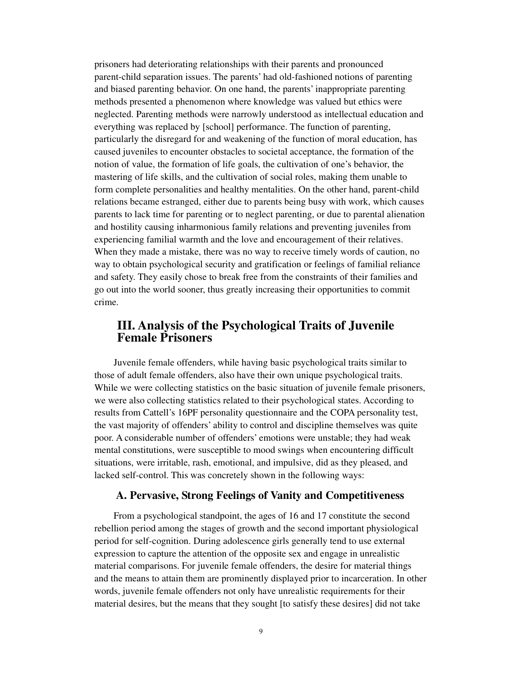prisoners had deteriorating relationships with their parents and pronounced parent-child separation issues. The parents' had old-fashioned notions of parenting and biased parenting behavior. On one hand, the parents' inappropriate parenting methods presented a phenomenon where knowledge was valued but ethics were neglected. Parenting methods were narrowly understood as intellectual education and everything was replaced by [school] performance. The function of parenting, particularly the disregard for and weakening of the function of moral education, has caused juveniles to encounter obstacles to societal acceptance, the formation of the notion of value, the formation of life goals, the cultivation of one's behavior, the mastering of life skills, and the cultivation of social roles, making them unable to form complete personalities and healthy mentalities. On the other hand, parent-child relations became estranged, either due to parents being busy with work, which causes parents to lack time for parenting or to neglect parenting, or due to parental alienation and hostility causing inharmonious family relations and preventing juveniles from experiencing familial warmth and the love and encouragement of their relatives. When they made a mistake, there was no way to receive timely words of caution, no way to obtain psychological security and gratification or feelings of familial reliance and safety. They easily chose to break free from the constraints of their families and go out into the world sooner, thus greatly increasing their opportunities to commit crime.

# **III. Analysis of the Psychological Traits of Juvenile Female Prisoners**

Juvenile female offenders, while having basic psychological traits similar to those of adult female offenders, also have their own unique psychological traits. While we were collecting statistics on the basic situation of juvenile female prisoners, we were also collecting statistics related to their psychological states. According to results from Cattell's 16PF personality questionnaire and the COPA personality test, the vast majority of offenders' ability to control and discipline themselves was quite poor. A considerable number of offenders' emotions were unstable; they had weak mental constitutions, were susceptible to mood swings when encountering difficult situations, were irritable, rash, emotional, and impulsive, did as they pleased, and lacked self-control. This was concretely shown in the following ways:

### **A. Pervasive, Strong Feelings of Vanity and Competitiveness**

From a psychological standpoint, the ages of 16 and 17 constitute the second rebellion period among the stages of growth and the second important physiological period for self-cognition. During adolescence girls generally tend to use external expression to capture the attention of the opposite sex and engage in unrealistic material comparisons. For juvenile female offenders, the desire for material things and the means to attain them are prominently displayed prior to incarceration. In other words, juvenile female offenders not only have unrealistic requirements for their material desires, but the means that they sought [to satisfy these desires] did not take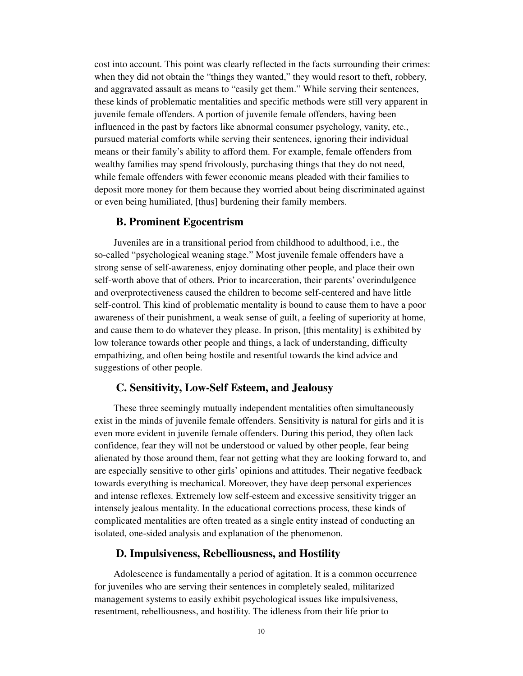cost into account. This point was clearly reflected in the facts surrounding their crimes: when they did not obtain the "things they wanted," they would resort to theft, robbery, and aggravated assault as means to "easily get them." While serving their sentences, these kinds of problematic mentalities and specific methods were still very apparent in juvenile female offenders. A portion of juvenile female offenders, having been influenced in the past by factors like abnormal consumer psychology, vanity, etc., pursued material comforts while serving their sentences, ignoring their individual means or their family's ability to afford them. For example, female offenders from wealthy families may spend frivolously, purchasing things that they do not need, while female offenders with fewer economic means pleaded with their families to deposit more money for them because they worried about being discriminated against or even being humiliated, [thus] burdening their family members.

### **B. Prominent Egocentrism**

Juveniles are in a transitional period from childhood to adulthood, i.e., the so-called "psychological weaning stage." Most juvenile female offenders have a strong sense of self-awareness, enjoy dominating other people, and place their own self-worth above that of others. Prior to incarceration, their parents' overindulgence and overprotectiveness caused the children to become self-centered and have little self-control. This kind of problematic mentality is bound to cause them to have a poor awareness of their punishment, a weak sense of guilt, a feeling of superiority at home, and cause them to do whatever they please. In prison, [this mentality] is exhibited by low tolerance towards other people and things, a lack of understanding, difficulty empathizing, and often being hostile and resentful towards the kind advice and suggestions of other people.

#### **C. Sensitivity, Low-Self Esteem, and Jealousy**

These three seemingly mutually independent mentalities often simultaneously exist in the minds of juvenile female offenders. Sensitivity is natural for girls and it is even more evident in juvenile female offenders. During this period, they often lack confidence, fear they will not be understood or valued by other people, fear being alienated by those around them, fear not getting what they are looking forward to, and are especially sensitive to other girls' opinions and attitudes. Their negative feedback towards everything is mechanical. Moreover, they have deep personal experiences and intense reflexes. Extremely low self-esteem and excessive sensitivity trigger an intensely jealous mentality. In the educational corrections process, these kinds of complicated mentalities are often treated as a single entity instead of conducting an isolated, one-sided analysis and explanation of the phenomenon.

### **D. Impulsiveness, Rebelliousness, and Hostility**

Adolescence is fundamentally a period of agitation. It is a common occurrence for juveniles who are serving their sentences in completely sealed, militarized management systems to easily exhibit psychological issues like impulsiveness, resentment, rebelliousness, and hostility. The idleness from their life prior to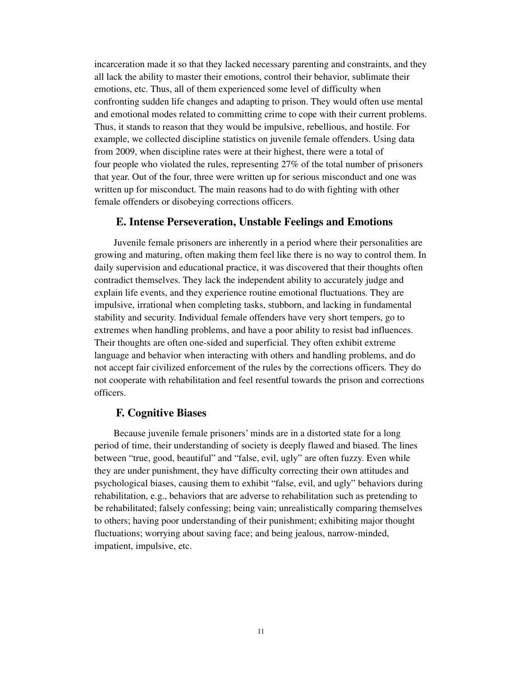incarceration made it so that they lacked necessary parenting and constraints, and they all lack the ability to master their emotions, control their behavior, sublimate their emotions, etc. Thus, all of them experienced some level of difficulty when confronting sudden life changes and adapting to prison. They would often use mental and emotional modes related to committing crime to cope with their current problems. Thus, it stands to reason that they would be impulsive, rebellious, and hostile. For example, we collected discipline statistics on juvenile female offenders. Using data from 2009, when discipline rates were at their highest, there were a total of four people who violated the rules, representing 27% of the total number of prisoners that year. Out of the four, three were written up for serious misconduct and one was written up for misconduct. The main reasons had to do with fighting with other female offenders or disobeying corrections officers.

### **E. Intense Perseveration, Unstable Feelings and Emotions**

Juvenile female prisoners are inherently in a period where their personalities are growing and maturing, often making them feel like there is no way to control them. In daily supervision and educational practice, it was discovered that their thoughts often contradict themselves. They lack the independent ability to accurately judge and explain life events, and they experience routine emotional fluctuations. They are impulsive, irrational when completing tasks, stubborn, and lacking in fundamental stability and security. Individual female offenders have very short tempers, go to extremes when handling problems, and have a poor ability to resist bad influences. Their thoughts are often one-sided and superficial. They often exhibit extreme language and behavior when interacting with others and handling problems, and do not accept fair civilized enforcement of the rules by the corrections officers. They do not cooperate with rehabilitation and feel resentful towards the prison and corrections officers.

### **F. Cognitive Biases**

Because juvenile female prisoners' minds are in a distorted state for a long period of time, their understanding of society is deeply flawed and biased. The lines between "true, good, beautiful" and "false, evil, ugly" are often fuzzy. Even while they are under punishment, they have difficulty correcting their own attitudes and psychological biases, causing them to exhibit "false, evil, and ugly" behaviors during rehabilitation, e.g., behaviors that are adverse to rehabilitation such as pretending to be rehabilitated; falsely confessing; being vain; unrealistically comparing themselves to others; having poor understanding of their punishment; exhibiting major thought fluctuations; worrying about saving face; and being jealous, narrow-minded, impatient, impulsive, etc.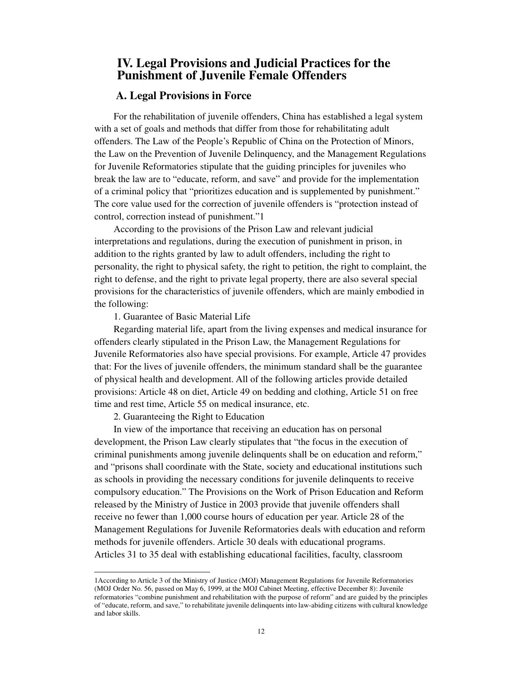## **IV. Legal Provisions and Judicial Practices for the Punishment of Juvenile Female Offenders**

## **A. Legal Provisions in Force**

For the rehabilitation of juvenile offenders, China has established a legal system with a set of goals and methods that differ from those for rehabilitating adult offenders. The Law of the People's Republic of China on the Protection of Minors, the Law on the Prevention of Juvenile Delinquency, and the Management Regulations for Juvenile Reformatories stipulate that the guiding principles for juveniles who break the law are to "educate, reform, and save" and provide for the implementation of a criminal policy that "prioritizes education and is supplemented by punishment." The core value used for the correction of juvenile offenders is "protection instead of control, correction instead of punishment."1

According to the provisions of the Prison Law and relevant judicial interpretations and regulations, during the execution of punishment in prison, in addition to the rights granted by law to adult offenders, including the right to personality, the right to physical safety, the right to petition, the right to complaint, the right to defense, and the right to private legal property, there are also several special provisions for the characteristics of juvenile offenders, which are mainly embodied in the following:

#### 1. Guarantee of Basic Material Life

Regarding material life, apart from the living expenses and medical insurance for offenders clearly stipulated in the Prison Law, the Management Regulations for Juvenile Reformatories also have special provisions. For example, Article 47 provides that: For the lives of juvenile offenders, the minimum standard shall be the guarantee of physical health and development. All of the following articles provide detailed provisions: Article 48 on diet, Article 49 on bedding and clothing, Article 51 on free time and rest time, Article 55 on medical insurance, etc.

2. Guaranteeing the Right to Education

 $\overline{a}$ 

In view of the importance that receiving an education has on personal development, the Prison Law clearly stipulates that "the focus in the execution of criminal punishments among juvenile delinquents shall be on education and reform," and "prisons shall coordinate with the State, society and educational institutions such as schools in providing the necessary conditions for juvenile delinquents to receive compulsory education." The Provisions on the Work of Prison Education and Reform released by the Ministry of Justice in 2003 provide that juvenile offenders shall receive no fewer than 1,000 course hours of education per year. Article 28 of the Management Regulations for Juvenile Reformatories deals with education and reform methods for juvenile offenders. Article 30 deals with educational programs. Articles 31 to 35 deal with establishing educational facilities, faculty, classroom

<sup>1</sup>According to Article 3 of the Ministry of Justice (MOJ) Management Regulations for Juvenile Reformatories (MOJ Order No. 56, passed on May 6, 1999, at the MOJ Cabinet Meeting, effective December 8): Juvenile reformatories "combine punishment and rehabilitation with the purpose of reform" and are guided by the principles of "educate, reform, and save," to rehabilitate juvenile delinquents into law-abiding citizens with cultural knowledge and labor skills.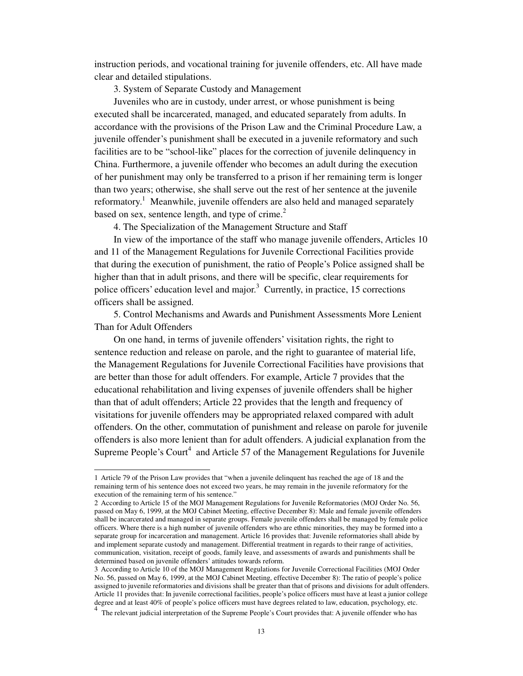instruction periods, and vocational training for juvenile offenders, etc. All have made clear and detailed stipulations.

3. System of Separate Custody and Management

Juveniles who are in custody, under arrest, or whose punishment is being executed shall be incarcerated, managed, and educated separately from adults. In accordance with the provisions of the Prison Law and the Criminal Procedure Law, a juvenile offender's punishment shall be executed in a juvenile reformatory and such facilities are to be "school-like" places for the correction of juvenile delinquency in China. Furthermore, a juvenile offender who becomes an adult during the execution of her punishment may only be transferred to a prison if her remaining term is longer than two years; otherwise, she shall serve out the rest of her sentence at the juvenile reformatory.<sup>1</sup> Meanwhile, juvenile offenders are also held and managed separately based on sex, sentence length, and type of crime. $<sup>2</sup>$ </sup>

4. The Specialization of the Management Structure and Staff

In view of the importance of the staff who manage juvenile offenders, Articles 10 and 11 of the Management Regulations for Juvenile Correctional Facilities provide that during the execution of punishment, the ratio of People's Police assigned shall be higher than that in adult prisons, and there will be specific, clear requirements for police officers' education level and major.<sup>3</sup> Currently, in practice, 15 corrections officers shall be assigned.

5. Control Mechanisms and Awards and Punishment Assessments More Lenient Than for Adult Offenders

On one hand, in terms of juvenile offenders' visitation rights, the right to sentence reduction and release on parole, and the right to guarantee of material life, the Management Regulations for Juvenile Correctional Facilities have provisions that are better than those for adult offenders. For example, Article 7 provides that the educational rehabilitation and living expenses of juvenile offenders shall be higher than that of adult offenders; Article 22 provides that the length and frequency of visitations for juvenile offenders may be appropriated relaxed compared with adult offenders. On the other, commutation of punishment and release on parole for juvenile offenders is also more lenient than for adult offenders. A judicial explanation from the Supreme People's Court<sup>4</sup> and Article 57 of the Management Regulations for Juvenile

-

<sup>1</sup> Article 79 of the Prison Law provides that "when a juvenile delinquent has reached the age of 18 and the remaining term of his sentence does not exceed two years, he may remain in the juvenile reformatory for the execution of the remaining term of his sentence."

<sup>2</sup> According to Article 15 of the MOJ Management Regulations for Juvenile Reformatories (MOJ Order No. 56, passed on May 6, 1999, at the MOJ Cabinet Meeting, effective December 8): Male and female juvenile offenders shall be incarcerated and managed in separate groups. Female juvenile offenders shall be managed by female police officers. Where there is a high number of juvenile offenders who are ethnic minorities, they may be formed into a separate group for incarceration and management. Article 16 provides that: Juvenile reformatories shall abide by and implement separate custody and management. Differential treatment in regards to their range of activities, communication, visitation, receipt of goods, family leave, and assessments of awards and punishments shall be determined based on juvenile offenders' attitudes towards reform.

<sup>3</sup> According to Article 10 of the MOJ Management Regulations for Juvenile Correctional Facilities (MOJ Order No. 56, passed on May 6, 1999, at the MOJ Cabinet Meeting, effective December 8): The ratio of people's police assigned to juvenile reformatories and divisions shall be greater than that of prisons and divisions for adult offenders. Article 11 provides that: In juvenile correctional facilities, people's police officers must have at least a junior college degree and at least 40% of people's police officers must have degrees related to law, education, psychology, etc.  $\frac{4}{3}$ . The relation is individual intermetation of the Surveyer Dearle's Court appelled that A investige

The relevant judicial interpretation of the Supreme People's Court provides that: A juvenile offender who has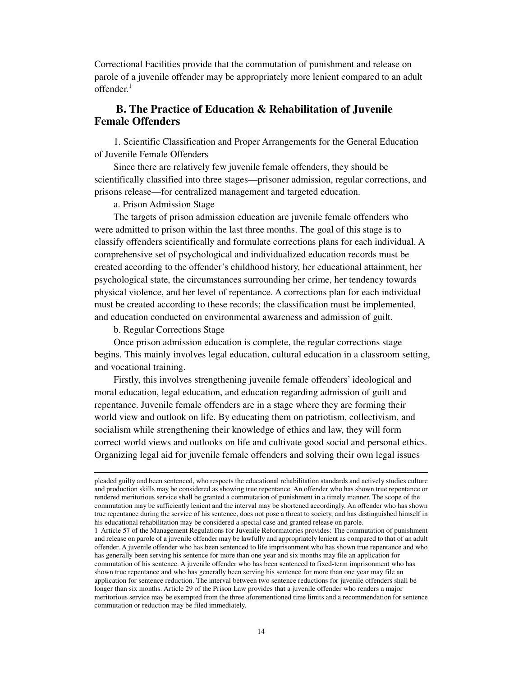Correctional Facilities provide that the commutation of punishment and release on parole of a juvenile offender may be appropriately more lenient compared to an adult offender.<sup>1</sup>

## **B. The Practice of Education & Rehabilitation of Juvenile Female Offenders**

1. Scientific Classification and Proper Arrangements for the General Education of Juvenile Female Offenders

Since there are relatively few juvenile female offenders, they should be scientifically classified into three stages—prisoner admission, regular corrections, and prisons release—for centralized management and targeted education.

a. Prison Admission Stage

The targets of prison admission education are juvenile female offenders who were admitted to prison within the last three months. The goal of this stage is to classify offenders scientifically and formulate corrections plans for each individual. A comprehensive set of psychological and individualized education records must be created according to the offender's childhood history, her educational attainment, her psychological state, the circumstances surrounding her crime, her tendency towards physical violence, and her level of repentance. A corrections plan for each individual must be created according to these records; the classification must be implemented, and education conducted on environmental awareness and admission of guilt.

b. Regular Corrections Stage

 $\overline{a}$ 

Once prison admission education is complete, the regular corrections stage begins. This mainly involves legal education, cultural education in a classroom setting, and vocational training.

Firstly, this involves strengthening juvenile female offenders' ideological and moral education, legal education, and education regarding admission of guilt and repentance. Juvenile female offenders are in a stage where they are forming their world view and outlook on life. By educating them on patriotism, collectivism, and socialism while strengthening their knowledge of ethics and law, they will form correct world views and outlooks on life and cultivate good social and personal ethics. Organizing legal aid for juvenile female offenders and solving their own legal issues

pleaded guilty and been sentenced, who respects the educational rehabilitation standards and actively studies culture and production skills may be considered as showing true repentance. An offender who has shown true repentance or rendered meritorious service shall be granted a commutation of punishment in a timely manner. The scope of the commutation may be sufficiently lenient and the interval may be shortened accordingly. An offender who has shown true repentance during the service of his sentence, does not pose a threat to society, and has distinguished himself in his educational rehabilitation may be considered a special case and granted release on parole.

<sup>1</sup> Article 57 of the Management Regulations for Juvenile Reformatories provides: The commutation of punishment and release on parole of a juvenile offender may be lawfully and appropriately lenient as compared to that of an adult offender. A juvenile offender who has been sentenced to life imprisonment who has shown true repentance and who has generally been serving his sentence for more than one year and six months may file an application for commutation of his sentence. A juvenile offender who has been sentenced to fixed-term imprisonment who has shown true repentance and who has generally been serving his sentence for more than one year may file an application for sentence reduction. The interval between two sentence reductions for juvenile offenders shall be longer than six months. Article 29 of the Prison Law provides that a juvenile offender who renders a major meritorious service may be exempted from the three aforementioned time limits and a recommendation for sentence commutation or reduction may be filed immediately.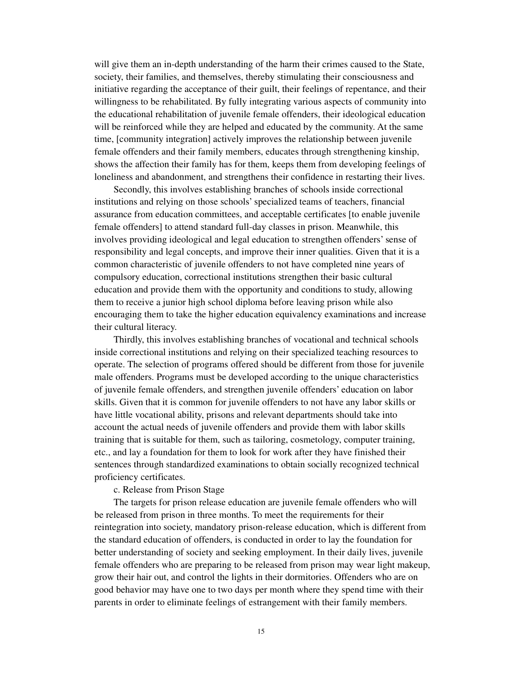will give them an in-depth understanding of the harm their crimes caused to the State, society, their families, and themselves, thereby stimulating their consciousness and initiative regarding the acceptance of their guilt, their feelings of repentance, and their willingness to be rehabilitated. By fully integrating various aspects of community into the educational rehabilitation of juvenile female offenders, their ideological education will be reinforced while they are helped and educated by the community. At the same time, [community integration] actively improves the relationship between juvenile female offenders and their family members, educates through strengthening kinship, shows the affection their family has for them, keeps them from developing feelings of loneliness and abandonment, and strengthens their confidence in restarting their lives.

Secondly, this involves establishing branches of schools inside correctional institutions and relying on those schools' specialized teams of teachers, financial assurance from education committees, and acceptable certificates [to enable juvenile female offenders] to attend standard full-day classes in prison. Meanwhile, this involves providing ideological and legal education to strengthen offenders' sense of responsibility and legal concepts, and improve their inner qualities. Given that it is a common characteristic of juvenile offenders to not have completed nine years of compulsory education, correctional institutions strengthen their basic cultural education and provide them with the opportunity and conditions to study, allowing them to receive a junior high school diploma before leaving prison while also encouraging them to take the higher education equivalency examinations and increase their cultural literacy.

Thirdly, this involves establishing branches of vocational and technical schools inside correctional institutions and relying on their specialized teaching resources to operate. The selection of programs offered should be different from those for juvenile male offenders. Programs must be developed according to the unique characteristics of juvenile female offenders, and strengthen juvenile offenders' education on labor skills. Given that it is common for juvenile offenders to not have any labor skills or have little vocational ability, prisons and relevant departments should take into account the actual needs of juvenile offenders and provide them with labor skills training that is suitable for them, such as tailoring, cosmetology, computer training, etc., and lay a foundation for them to look for work after they have finished their sentences through standardized examinations to obtain socially recognized technical proficiency certificates.

#### c. Release from Prison Stage

The targets for prison release education are juvenile female offenders who will be released from prison in three months. To meet the requirements for their reintegration into society, mandatory prison-release education, which is different from the standard education of offenders, is conducted in order to lay the foundation for better understanding of society and seeking employment. In their daily lives, juvenile female offenders who are preparing to be released from prison may wear light makeup, grow their hair out, and control the lights in their dormitories. Offenders who are on good behavior may have one to two days per month where they spend time with their parents in order to eliminate feelings of estrangement with their family members.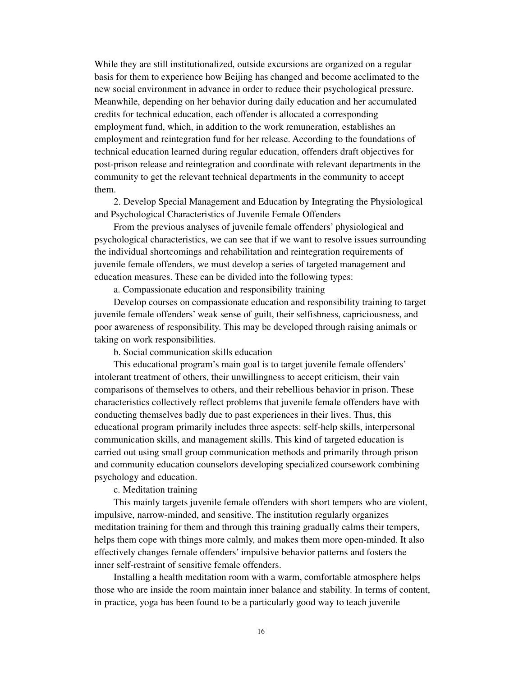While they are still institutionalized, outside excursions are organized on a regular basis for them to experience how Beijing has changed and become acclimated to the new social environment in advance in order to reduce their psychological pressure. Meanwhile, depending on her behavior during daily education and her accumulated credits for technical education, each offender is allocated a corresponding employment fund, which, in addition to the work remuneration, establishes an employment and reintegration fund for her release. According to the foundations of technical education learned during regular education, offenders draft objectives for post-prison release and reintegration and coordinate with relevant departments in the community to get the relevant technical departments in the community to accept them.

2. Develop Special Management and Education by Integrating the Physiological and Psychological Characteristics of Juvenile Female Offenders

From the previous analyses of juvenile female offenders' physiological and psychological characteristics, we can see that if we want to resolve issues surrounding the individual shortcomings and rehabilitation and reintegration requirements of juvenile female offenders, we must develop a series of targeted management and education measures. These can be divided into the following types:

a. Compassionate education and responsibility training

Develop courses on compassionate education and responsibility training to target juvenile female offenders' weak sense of guilt, their selfishness, capriciousness, and poor awareness of responsibility. This may be developed through raising animals or taking on work responsibilities.

b. Social communication skills education

This educational program's main goal is to target juvenile female offenders' intolerant treatment of others, their unwillingness to accept criticism, their vain comparisons of themselves to others, and their rebellious behavior in prison. These characteristics collectively reflect problems that juvenile female offenders have with conducting themselves badly due to past experiences in their lives. Thus, this educational program primarily includes three aspects: self-help skills, interpersonal communication skills, and management skills. This kind of targeted education is carried out using small group communication methods and primarily through prison and community education counselors developing specialized coursework combining psychology and education.

c. Meditation training

This mainly targets juvenile female offenders with short tempers who are violent, impulsive, narrow-minded, and sensitive. The institution regularly organizes meditation training for them and through this training gradually calms their tempers, helps them cope with things more calmly, and makes them more open-minded. It also effectively changes female offenders' impulsive behavior patterns and fosters the inner self-restraint of sensitive female offenders.

Installing a health meditation room with a warm, comfortable atmosphere helps those who are inside the room maintain inner balance and stability. In terms of content, in practice, yoga has been found to be a particularly good way to teach juvenile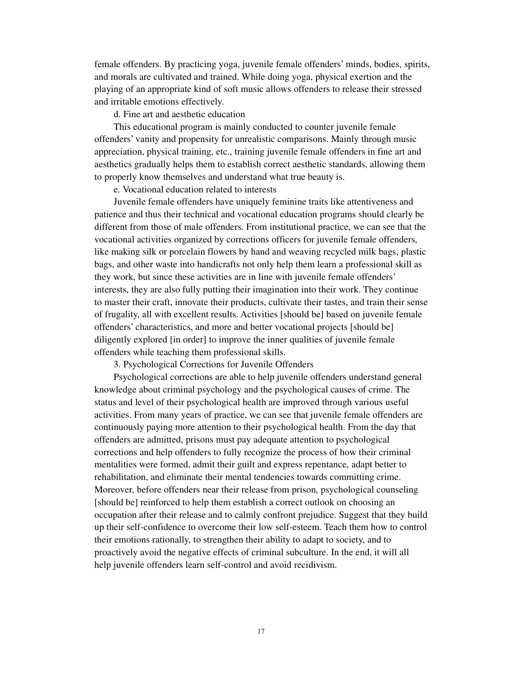female offenders. By practicing yoga, juvenile female offenders' minds, bodies, spirits, and morals are cultivated and trained. While doing yoga, physical exertion and the playing of an appropriate kind of soft music allows offenders to release their stressed and irritable emotions effectively.

d. Fine art and aesthetic education

This educational program is mainly conducted to counter juvenile female offenders' vanity and propensity for unrealistic comparisons. Mainly through music appreciation, physical training, etc., training juvenile female offenders in fine art and aesthetics gradually helps them to establish correct aesthetic standards, allowing them to properly know themselves and understand what true beauty is.

e. Vocational education related to interests

Juvenile female offenders have uniquely feminine traits like attentiveness and patience and thus their technical and vocational education programs should clearly be different from those of male offenders. From institutional practice, we can see that the vocational activities organized by corrections officers for juvenile female offenders, like making silk or porcelain flowers by hand and weaving recycled milk bags, plastic bags, and other waste into handicrafts not only help them learn a professional skill as they work, but since these activities are in line with juvenile female offenders' interests, they are also fully putting their imagination into their work. They continue to master their craft, innovate their products, cultivate their tastes, and train their sense of frugality, all with excellent results. Activities [should be] based on juvenile female offenders' characteristics, and more and better vocational projects [should be] diligently explored [in order] to improve the inner qualities of juvenile female offenders while teaching them professional skills.

3. Psychological Corrections for Juvenile Offenders

Psychological corrections are able to help juvenile offenders understand general knowledge about criminal psychology and the psychological causes of crime. The status and level of their psychological health are improved through various useful activities. From many years of practice, we can see that juvenile female offenders are continuously paying more attention to their psychological health. From the day that offenders are admitted, prisons must pay adequate attention to psychological corrections and help offenders to fully recognize the process of how their criminal mentalities were formed, admit their guilt and express repentance, adapt better to rehabilitation, and eliminate their mental tendencies towards committing crime. Moreover, before offenders near their release from prison, psychological counseling [should be] reinforced to help them establish a correct outlook on choosing an occupation after their release and to calmly confront prejudice. Suggest that they build up their self-confidence to overcome their low self-esteem. Teach them how to control their emotions rationally, to strengthen their ability to adapt to society, and to proactively avoid the negative effects of criminal subculture. In the end, it will all help juvenile offenders learn self-control and avoid recidivism.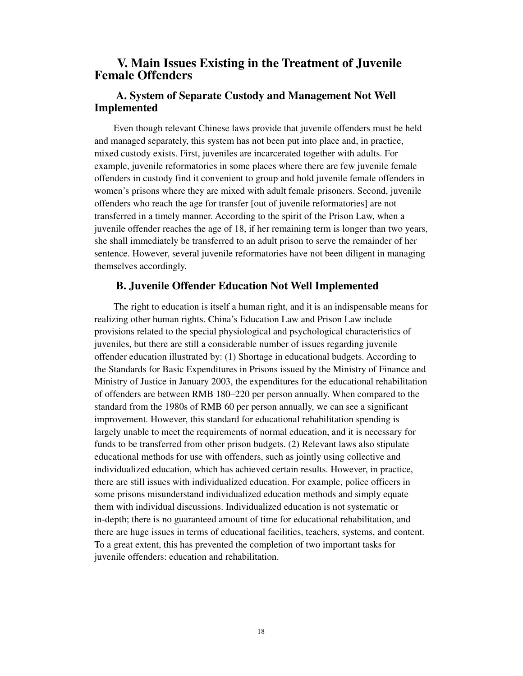# **V. Main Issues Existing in the Treatment of Juvenile Female Offenders**

## **A. System of Separate Custody and Management Not Well Implemented**

Even though relevant Chinese laws provide that juvenile offenders must be held and managed separately, this system has not been put into place and, in practice, mixed custody exists. First, juveniles are incarcerated together with adults. For example, juvenile reformatories in some places where there are few juvenile female offenders in custody find it convenient to group and hold juvenile female offenders in women's prisons where they are mixed with adult female prisoners. Second, juvenile offenders who reach the age for transfer [out of juvenile reformatories] are not transferred in a timely manner. According to the spirit of the Prison Law, when a juvenile offender reaches the age of 18, if her remaining term is longer than two years, she shall immediately be transferred to an adult prison to serve the remainder of her sentence. However, several juvenile reformatories have not been diligent in managing themselves accordingly.

### **B. Juvenile Offender Education Not Well Implemented**

The right to education is itself a human right, and it is an indispensable means for realizing other human rights. China's Education Law and Prison Law include provisions related to the special physiological and psychological characteristics of juveniles, but there are still a considerable number of issues regarding juvenile offender education illustrated by: (1) Shortage in educational budgets. According to the Standards for Basic Expenditures in Prisons issued by the Ministry of Finance and Ministry of Justice in January 2003, the expenditures for the educational rehabilitation of offenders are between RMB 180–220 per person annually. When compared to the standard from the 1980s of RMB 60 per person annually, we can see a significant improvement. However, this standard for educational rehabilitation spending is largely unable to meet the requirements of normal education, and it is necessary for funds to be transferred from other prison budgets. (2) Relevant laws also stipulate educational methods for use with offenders, such as jointly using collective and individualized education, which has achieved certain results. However, in practice, there are still issues with individualized education. For example, police officers in some prisons misunderstand individualized education methods and simply equate them with individual discussions. Individualized education is not systematic or in-depth; there is no guaranteed amount of time for educational rehabilitation, and there are huge issues in terms of educational facilities, teachers, systems, and content. To a great extent, this has prevented the completion of two important tasks for juvenile offenders: education and rehabilitation.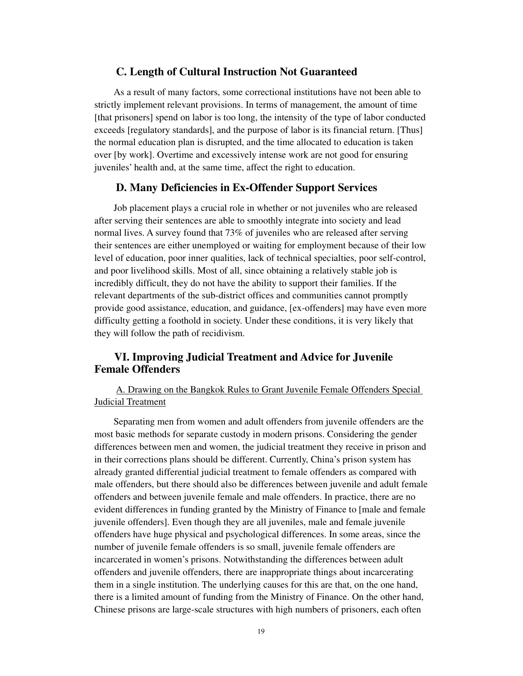### **C. Length of Cultural Instruction Not Guaranteed**

As a result of many factors, some correctional institutions have not been able to strictly implement relevant provisions. In terms of management, the amount of time [that prisoners] spend on labor is too long, the intensity of the type of labor conducted exceeds [regulatory standards], and the purpose of labor is its financial return. [Thus] the normal education plan is disrupted, and the time allocated to education is taken over [by work]. Overtime and excessively intense work are not good for ensuring juveniles' health and, at the same time, affect the right to education.

### **D. Many Deficiencies in Ex-Offender Support Services**

Job placement plays a crucial role in whether or not juveniles who are released after serving their sentences are able to smoothly integrate into society and lead normal lives. A survey found that 73% of juveniles who are released after serving their sentences are either unemployed or waiting for employment because of their low level of education, poor inner qualities, lack of technical specialties, poor self-control, and poor livelihood skills. Most of all, since obtaining a relatively stable job is incredibly difficult, they do not have the ability to support their families. If the relevant departments of the sub-district offices and communities cannot promptly provide good assistance, education, and guidance, [ex-offenders] may have even more difficulty getting a foothold in society. Under these conditions, it is very likely that they will follow the path of recidivism.

## **VI. Improving Judicial Treatment and Advice for Juvenile Female Offenders**

A. Drawing on the Bangkok Rules to Grant Juvenile Female Offenders Special Judicial Treatment

Separating men from women and adult offenders from juvenile offenders are the most basic methods for separate custody in modern prisons. Considering the gender differences between men and women, the judicial treatment they receive in prison and in their corrections plans should be different. Currently, China's prison system has already granted differential judicial treatment to female offenders as compared with male offenders, but there should also be differences between juvenile and adult female offenders and between juvenile female and male offenders. In practice, there are no evident differences in funding granted by the Ministry of Finance to [male and female juvenile offenders]. Even though they are all juveniles, male and female juvenile offenders have huge physical and psychological differences. In some areas, since the number of juvenile female offenders is so small, juvenile female offenders are incarcerated in women's prisons. Notwithstanding the differences between adult offenders and juvenile offenders, there are inappropriate things about incarcerating them in a single institution. The underlying causes for this are that, on the one hand, there is a limited amount of funding from the Ministry of Finance. On the other hand, Chinese prisons are large-scale structures with high numbers of prisoners, each often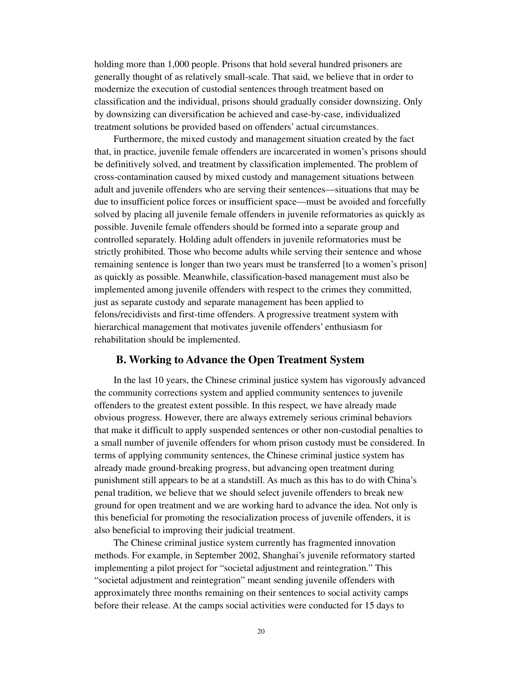holding more than 1,000 people. Prisons that hold several hundred prisoners are generally thought of as relatively small-scale. That said, we believe that in order to modernize the execution of custodial sentences through treatment based on classification and the individual, prisons should gradually consider downsizing. Only by downsizing can diversification be achieved and case-by-case, individualized treatment solutions be provided based on offenders' actual circumstances.

Furthermore, the mixed custody and management situation created by the fact that, in practice, juvenile female offenders are incarcerated in women's prisons should be definitively solved, and treatment by classification implemented. The problem of cross-contamination caused by mixed custody and management situations between adult and juvenile offenders who are serving their sentences—situations that may be due to insufficient police forces or insufficient space—must be avoided and forcefully solved by placing all juvenile female offenders in juvenile reformatories as quickly as possible. Juvenile female offenders should be formed into a separate group and controlled separately. Holding adult offenders in juvenile reformatories must be strictly prohibited. Those who become adults while serving their sentence and whose remaining sentence is longer than two years must be transferred [to a women's prison] as quickly as possible. Meanwhile, classification-based management must also be implemented among juvenile offenders with respect to the crimes they committed, just as separate custody and separate management has been applied to felons/recidivists and first-time offenders. A progressive treatment system with hierarchical management that motivates juvenile offenders' enthusiasm for rehabilitation should be implemented.

### **B. Working to Advance the Open Treatment System**

In the last 10 years, the Chinese criminal justice system has vigorously advanced the community corrections system and applied community sentences to juvenile offenders to the greatest extent possible. In this respect, we have already made obvious progress. However, there are always extremely serious criminal behaviors that make it difficult to apply suspended sentences or other non-custodial penalties to a small number of juvenile offenders for whom prison custody must be considered. In terms of applying community sentences, the Chinese criminal justice system has already made ground-breaking progress, but advancing open treatment during punishment still appears to be at a standstill. As much as this has to do with China's penal tradition, we believe that we should select juvenile offenders to break new ground for open treatment and we are working hard to advance the idea. Not only is this beneficial for promoting the resocialization process of juvenile offenders, it is also beneficial to improving their judicial treatment.

The Chinese criminal justice system currently has fragmented innovation methods. For example, in September 2002, Shanghai's juvenile reformatory started implementing a pilot project for "societal adjustment and reintegration." This "societal adjustment and reintegration" meant sending juvenile offenders with approximately three months remaining on their sentences to social activity camps before their release. At the camps social activities were conducted for 15 days to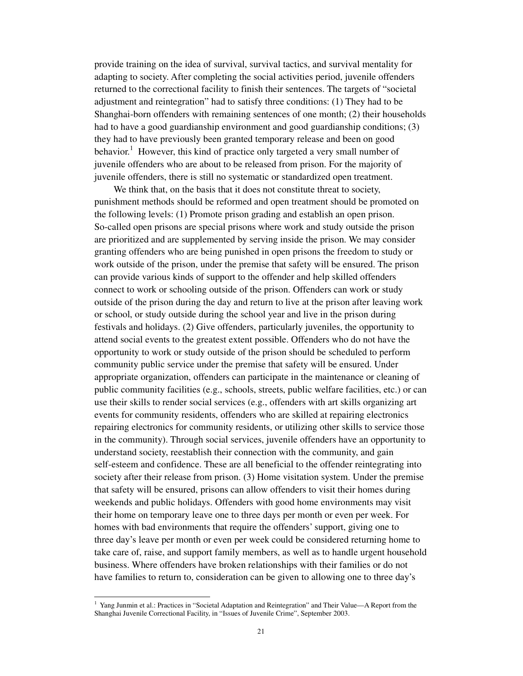provide training on the idea of survival, survival tactics, and survival mentality for adapting to society. After completing the social activities period, juvenile offenders returned to the correctional facility to finish their sentences. The targets of "societal adjustment and reintegration" had to satisfy three conditions: (1) They had to be Shanghai-born offenders with remaining sentences of one month; (2) their households had to have a good guardianship environment and good guardianship conditions; (3) they had to have previously been granted temporary release and been on good behavior.<sup>1</sup> However, this kind of practice only targeted a very small number of juvenile offenders who are about to be released from prison. For the majority of juvenile offenders, there is still no systematic or standardized open treatment.

We think that, on the basis that it does not constitute threat to society, punishment methods should be reformed and open treatment should be promoted on the following levels: (1) Promote prison grading and establish an open prison. So-called open prisons are special prisons where work and study outside the prison are prioritized and are supplemented by serving inside the prison. We may consider granting offenders who are being punished in open prisons the freedom to study or work outside of the prison, under the premise that safety will be ensured. The prison can provide various kinds of support to the offender and help skilled offenders connect to work or schooling outside of the prison. Offenders can work or study outside of the prison during the day and return to live at the prison after leaving work or school, or study outside during the school year and live in the prison during festivals and holidays. (2) Give offenders, particularly juveniles, the opportunity to attend social events to the greatest extent possible. Offenders who do not have the opportunity to work or study outside of the prison should be scheduled to perform community public service under the premise that safety will be ensured. Under appropriate organization, offenders can participate in the maintenance or cleaning of public community facilities (e.g., schools, streets, public welfare facilities, etc.) or can use their skills to render social services (e.g., offenders with art skills organizing art events for community residents, offenders who are skilled at repairing electronics repairing electronics for community residents, or utilizing other skills to service those in the community). Through social services, juvenile offenders have an opportunity to understand society, reestablish their connection with the community, and gain self-esteem and confidence. These are all beneficial to the offender reintegrating into society after their release from prison. (3) Home visitation system. Under the premise that safety will be ensured, prisons can allow offenders to visit their homes during weekends and public holidays. Offenders with good home environments may visit their home on temporary leave one to three days per month or even per week. For homes with bad environments that require the offenders' support, giving one to three day's leave per month or even per week could be considered returning home to take care of, raise, and support family members, as well as to handle urgent household business. Where offenders have broken relationships with their families or do not have families to return to, consideration can be given to allowing one to three day's

 1 Yang Junmin et al.: Practices in "Societal Adaptation and Reintegration" and Their Value—A Report from the Shanghai Juvenile Correctional Facility, in "Issues of Juvenile Crime", September 2003.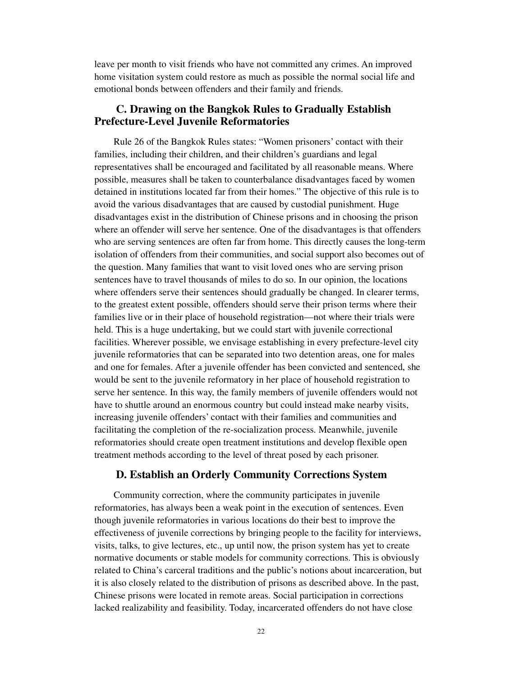leave per month to visit friends who have not committed any crimes. An improved home visitation system could restore as much as possible the normal social life and emotional bonds between offenders and their family and friends.

## **C. Drawing on the Bangkok Rules to Gradually Establish Prefecture-Level Juvenile Reformatories**

Rule 26 of the Bangkok Rules states: "Women prisoners' contact with their families, including their children, and their children's guardians and legal representatives shall be encouraged and facilitated by all reasonable means. Where possible, measures shall be taken to counterbalance disadvantages faced by women detained in institutions located far from their homes." The objective of this rule is to avoid the various disadvantages that are caused by custodial punishment. Huge disadvantages exist in the distribution of Chinese prisons and in choosing the prison where an offender will serve her sentence. One of the disadvantages is that offenders who are serving sentences are often far from home. This directly causes the long-term isolation of offenders from their communities, and social support also becomes out of the question. Many families that want to visit loved ones who are serving prison sentences have to travel thousands of miles to do so. In our opinion, the locations where offenders serve their sentences should gradually be changed. In clearer terms, to the greatest extent possible, offenders should serve their prison terms where their families live or in their place of household registration—not where their trials were held. This is a huge undertaking, but we could start with juvenile correctional facilities. Wherever possible, we envisage establishing in every prefecture-level city juvenile reformatories that can be separated into two detention areas, one for males and one for females. After a juvenile offender has been convicted and sentenced, she would be sent to the juvenile reformatory in her place of household registration to serve her sentence. In this way, the family members of juvenile offenders would not have to shuttle around an enormous country but could instead make nearby visits, increasing juvenile offenders' contact with their families and communities and facilitating the completion of the re-socialization process. Meanwhile, juvenile reformatories should create open treatment institutions and develop flexible open treatment methods according to the level of threat posed by each prisoner.

### **D. Establish an Orderly Community Corrections System**

Community correction, where the community participates in juvenile reformatories, has always been a weak point in the execution of sentences. Even though juvenile reformatories in various locations do their best to improve the effectiveness of juvenile corrections by bringing people to the facility for interviews, visits, talks, to give lectures, etc., up until now, the prison system has yet to create normative documents or stable models for community corrections. This is obviously related to China's carceral traditions and the public's notions about incarceration, but it is also closely related to the distribution of prisons as described above. In the past, Chinese prisons were located in remote areas. Social participation in corrections lacked realizability and feasibility. Today, incarcerated offenders do not have close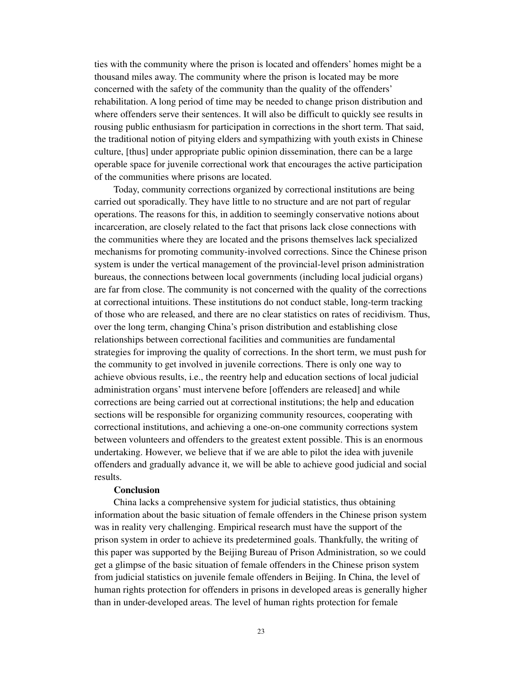ties with the community where the prison is located and offenders' homes might be a thousand miles away. The community where the prison is located may be more concerned with the safety of the community than the quality of the offenders' rehabilitation. A long period of time may be needed to change prison distribution and where offenders serve their sentences. It will also be difficult to quickly see results in rousing public enthusiasm for participation in corrections in the short term. That said, the traditional notion of pitying elders and sympathizing with youth exists in Chinese culture, [thus] under appropriate public opinion dissemination, there can be a large operable space for juvenile correctional work that encourages the active participation of the communities where prisons are located.

Today, community corrections organized by correctional institutions are being carried out sporadically. They have little to no structure and are not part of regular operations. The reasons for this, in addition to seemingly conservative notions about incarceration, are closely related to the fact that prisons lack close connections with the communities where they are located and the prisons themselves lack specialized mechanisms for promoting community-involved corrections. Since the Chinese prison system is under the vertical management of the provincial-level prison administration bureaus, the connections between local governments (including local judicial organs) are far from close. The community is not concerned with the quality of the corrections at correctional intuitions. These institutions do not conduct stable, long-term tracking of those who are released, and there are no clear statistics on rates of recidivism. Thus, over the long term, changing China's prison distribution and establishing close relationships between correctional facilities and communities are fundamental strategies for improving the quality of corrections. In the short term, we must push for the community to get involved in juvenile corrections. There is only one way to achieve obvious results, i.e., the reentry help and education sections of local judicial administration organs' must intervene before [offenders are released] and while corrections are being carried out at correctional institutions; the help and education sections will be responsible for organizing community resources, cooperating with correctional institutions, and achieving a one-on-one community corrections system between volunteers and offenders to the greatest extent possible. This is an enormous undertaking. However, we believe that if we are able to pilot the idea with juvenile offenders and gradually advance it, we will be able to achieve good judicial and social results.

### **Conclusion**

China lacks a comprehensive system for judicial statistics, thus obtaining information about the basic situation of female offenders in the Chinese prison system was in reality very challenging. Empirical research must have the support of the prison system in order to achieve its predetermined goals. Thankfully, the writing of this paper was supported by the Beijing Bureau of Prison Administration, so we could get a glimpse of the basic situation of female offenders in the Chinese prison system from judicial statistics on juvenile female offenders in Beijing. In China, the level of human rights protection for offenders in prisons in developed areas is generally higher than in under-developed areas. The level of human rights protection for female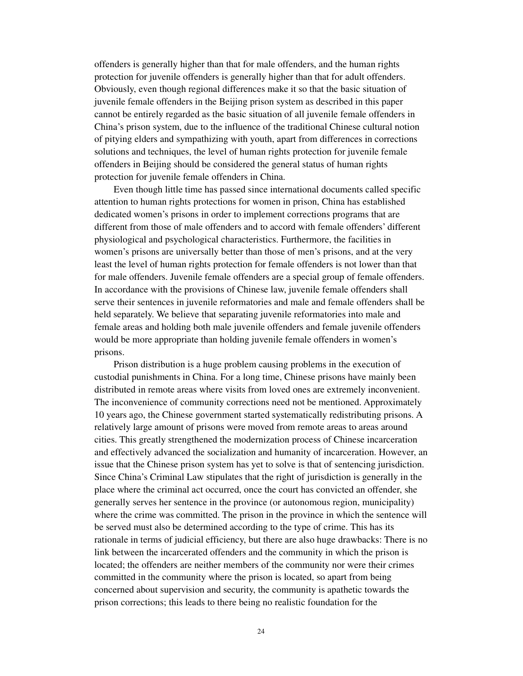offenders is generally higher than that for male offenders, and the human rights protection for juvenile offenders is generally higher than that for adult offenders. Obviously, even though regional differences make it so that the basic situation of juvenile female offenders in the Beijing prison system as described in this paper cannot be entirely regarded as the basic situation of all juvenile female offenders in China's prison system, due to the influence of the traditional Chinese cultural notion of pitying elders and sympathizing with youth, apart from differences in corrections solutions and techniques, the level of human rights protection for juvenile female offenders in Beijing should be considered the general status of human rights protection for juvenile female offenders in China.

Even though little time has passed since international documents called specific attention to human rights protections for women in prison, China has established dedicated women's prisons in order to implement corrections programs that are different from those of male offenders and to accord with female offenders' different physiological and psychological characteristics. Furthermore, the facilities in women's prisons are universally better than those of men's prisons, and at the very least the level of human rights protection for female offenders is not lower than that for male offenders. Juvenile female offenders are a special group of female offenders. In accordance with the provisions of Chinese law, juvenile female offenders shall serve their sentences in juvenile reformatories and male and female offenders shall be held separately. We believe that separating juvenile reformatories into male and female areas and holding both male juvenile offenders and female juvenile offenders would be more appropriate than holding juvenile female offenders in women's prisons.

Prison distribution is a huge problem causing problems in the execution of custodial punishments in China. For a long time, Chinese prisons have mainly been distributed in remote areas where visits from loved ones are extremely inconvenient. The inconvenience of community corrections need not be mentioned. Approximately 10 years ago, the Chinese government started systematically redistributing prisons. A relatively large amount of prisons were moved from remote areas to areas around cities. This greatly strengthened the modernization process of Chinese incarceration and effectively advanced the socialization and humanity of incarceration. However, an issue that the Chinese prison system has yet to solve is that of sentencing jurisdiction. Since China's Criminal Law stipulates that the right of jurisdiction is generally in the place where the criminal act occurred, once the court has convicted an offender, she generally serves her sentence in the province (or autonomous region, municipality) where the crime was committed. The prison in the province in which the sentence will be served must also be determined according to the type of crime. This has its rationale in terms of judicial efficiency, but there are also huge drawbacks: There is no link between the incarcerated offenders and the community in which the prison is located; the offenders are neither members of the community nor were their crimes committed in the community where the prison is located, so apart from being concerned about supervision and security, the community is apathetic towards the prison corrections; this leads to there being no realistic foundation for the